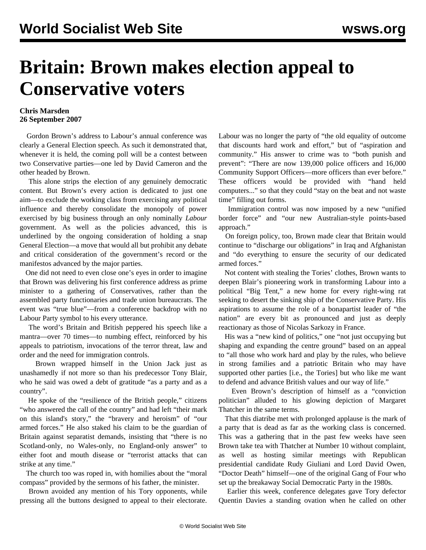## **Britain: Brown makes election appeal to Conservative voters**

## **Chris Marsden 26 September 2007**

 Gordon Brown's address to Labour's annual conference was clearly a General Election speech. As such it demonstrated that, whenever it is held, the coming poll will be a contest between two Conservative parties—one led by David Cameron and the other headed by Brown.

 This alone strips the election of any genuinely democratic content. But Brown's every action is dedicated to just one aim—to exclude the working class from exercising any political influence and thereby consolidate the monopoly of power exercised by big business through an only nominally *Labour* government. As well as the policies advanced, this is underlined by the ongoing consideration of holding a snap General Election—a move that would all but prohibit any debate and critical consideration of the government's record or the manifestos advanced by the major parties.

 One did not need to even close one's eyes in order to imagine that Brown was delivering his first conference address as prime minister to a gathering of Conservatives, rather than the assembled party functionaries and trade union bureaucrats. The event was "true blue"—from a conference backdrop with no Labour Party symbol to his every utterance.

 The word's Britain and British peppered his speech like a mantra—over 70 times—to numbing effect, reinforced by his appeals to patriotism, invocations of the terror threat, law and order and the need for immigration controls.

 Brown wrapped himself in the Union Jack just as unashamedly if not more so than his predecessor Tony Blair, who he said was owed a debt of gratitude "as a party and as a country".

 He spoke of the "resilience of the British people," citizens "who answered the call of the country" and had left "their mark on this island's story," the "bravery and heroism" of "our armed forces." He also staked his claim to be the guardian of Britain against separatist demands, insisting that "there is no Scotland-only, no Wales-only, no England-only answer" to either foot and mouth disease or "terrorist attacks that can strike at any time."

 The church too was roped in, with homilies about the "moral compass" provided by the sermons of his father, the minister.

 Brown avoided any mention of his Tory opponents, while pressing all the buttons designed to appeal to their electorate. Labour was no longer the party of "the old equality of outcome that discounts hard work and effort," but of "aspiration and community." His answer to crime was to "both punish and prevent": "There are now 139,000 police officers and 16,000 Community Support Officers—more officers than ever before." These officers would be provided with "hand held computers..." so that they could "stay on the beat and not waste time" filling out forms.

 Immigration control was now imposed by a new "unified border force" and "our new Australian-style points-based approach."

 On foreign policy, too, Brown made clear that Britain would continue to "discharge our obligations" in Iraq and Afghanistan and "do everything to ensure the security of our dedicated armed forces."

 Not content with stealing the Tories' clothes, Brown wants to deepen Blair's pioneering work in transforming Labour into a political "Big Tent," a new home for every right-wing rat seeking to desert the sinking ship of the Conservative Party. His aspirations to assume the role of a bonapartist leader of "the nation" are every bit as pronounced and just as deeply reactionary as those of Nicolas Sarkozy in France.

 His was a "new kind of politics," one "not just occupying but shaping and expanding the centre ground" based on an appeal to "all those who work hard and play by the rules, who believe in strong families and a patriotic Britain who may have supported other parties [i.e., the Tories] but who like me want to defend and advance British values and our way of life."

 Even Brown's description of himself as a "conviction politician" alluded to his glowing depiction of Margaret Thatcher in the same terms.

 That this diatribe met with prolonged applause is the mark of a party that is dead as far as the working class is concerned. This was a gathering that in the past few weeks have seen Brown take tea with Thatcher at Number 10 without complaint, as well as hosting similar meetings with Republican presidential candidate Rudy Giuliani and Lord David Owen, "Doctor Death" himself—one of the original Gang of Four who set up the breakaway Social Democratic Party in the 1980s.

 Earlier this week, conference delegates gave Tory defector Quentin Davies a standing ovation when he called on other